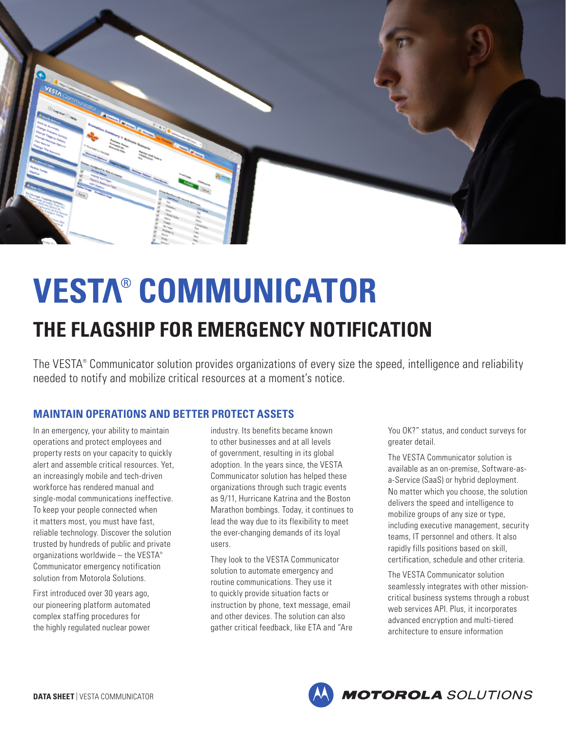

# **VESTA® COMMUNICATOR THE FLAGSHIP FOR EMERGENCY NOTIFICATION**

The VESTA® Communicator solution provides organizations of every size the speed, intelligence and reliability needed to notify and mobilize critical resources at a moment's notice.

# **MAINTAIN OPERATIONS AND BETTER PROTECT ASSETS**

In an emergency, your ability to maintain operations and protect employees and property rests on your capacity to quickly alert and assemble critical resources. Yet, an increasingly mobile and tech-driven workforce has rendered manual and single-modal communications ineffective. To keep your people connected when it matters most, you must have fast, reliable technology. Discover the solution trusted by hundreds of public and private organizations worldwide – the VESTA® Communicator emergency notification solution from Motorola Solutions.

First introduced over 30 years ago, our pioneering platform automated complex staffing procedures for the highly regulated nuclear power

industry. Its benefits became known to other businesses and at all levels of government, resulting in its global adoption. In the years since, the VESTA Communicator solution has helped these organizations through such tragic events as 9/11, Hurricane Katrina and the Boston Marathon bombings. Today, it continues to lead the way due to its flexibility to meet the ever-changing demands of its loyal users.

They look to the VESTA Communicator solution to automate emergency and routine communications. They use it to quickly provide situation facts or instruction by phone, text message, email and other devices. The solution can also gather critical feedback, like ETA and "Are You OK?" status, and conduct surveys for greater detail.

The VESTA Communicator solution is available as an on-premise, Software-asa-Service (SaaS) or hybrid deployment. No matter which you choose, the solution delivers the speed and intelligence to mobilize groups of any size or type, including executive management, security teams, IT personnel and others. It also rapidly fills positions based on skill, certification, schedule and other criteria.

The VESTA Communicator solution seamlessly integrates with other missioncritical business systems through a robust web services API. Plus, it incorporates advanced encryption and multi-tiered architecture to ensure information